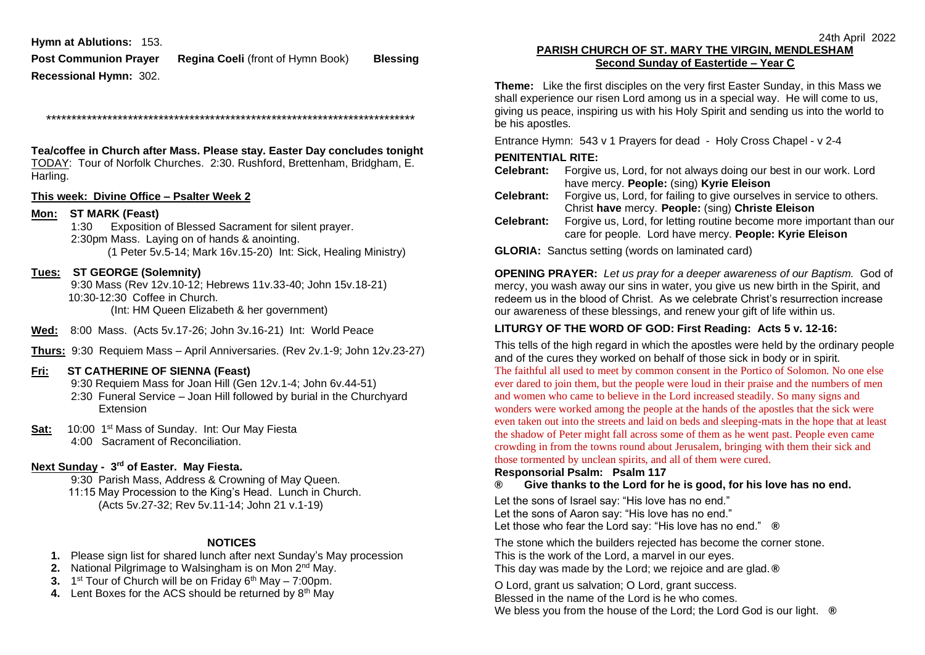**Hymn at Ablutions:** 153.

**Post Communion Prayer Regina Coeli** (front of Hymn Book) **Blessing Recessional Hymn:** 302.

\*\*\*\*\*\*\*\*\*\*\*\*\*\*\*\*\*\*\*\*\*\*\*\*\*\*\*\*\*\*\*\*\*\*\*\*\*\*\*\*\*\*\*\*\*\*\*\*\*\*\*\*\*\*\*\*\*\*\*\*\*\*\*\*\*\*\*\*\*\*\*\*

**Tea/coffee in Church after Mass. Please stay. Easter Day concludes tonight** TODAY: Tour of Norfolk Churches. 2:30. Rushford, Brettenham, Bridgham, E. Harling.

#### **This week: Divine Office – Psalter Week 2**

### **Mon: ST MARK (Feast)**

1:30 Exposition of Blessed Sacrament for silent prayer. 2:30pm Mass. Laying on of hands & anointing. (1 Peter 5v.5-14; Mark 16v.15-20) Int: Sick, Healing Ministry)

### **Tues: ST GEORGE (Solemnity)**

 9:30 Mass (Rev 12v.10-12; Hebrews 11v.33-40; John 15v.18-21) 10:30-12:30 Coffee in Church. (Int: HM Queen Elizabeth & her government)

**Wed:** 8:00 Mass. (Acts 5v.17-26; John 3v.16-21) Int: World Peace

**Thurs:** 9:30 Requiem Mass – April Anniversaries. (Rev 2v.1-9; John 12v.23-27)

### **Fri: ST CATHERINE OF SIENNA (Feast)**

9:30 Requiem Mass for Joan Hill (Gen 12v.1-4; John 6v.44-51)

- 2:30 Funeral Service Joan Hill followed by burial in the Churchyard Extension
- **Sat:** 10:00 1<sup>st</sup> Mass of Sunday. Int: Our May Fiesta 4:00 Sacrament of Reconciliation.

### **Next Sunday - 3 rd of Easter. May Fiesta.**

9:30 Parish Mass, Address & Crowning of May Queen. 11:15 May Procession to the King's Head. Lunch in Church. (Acts 5v.27-32; Rev 5v.11-14; John 21 v.1-19)

#### **NOTICES**

- **1.** Please sign list for shared lunch after next Sunday's May procession
- **2.** National Pilgrimage to Walsingham is on Mon 2<sup>nd</sup> May.
- **3.** 1<sup>st</sup> Tour of Church will be on Friday 6<sup>th</sup> May 7:00pm.
- 4. Lent Boxes for the ACS should be returned by 8<sup>th</sup> May

# **PARISH CHURCH OF ST. MARY THE VIRGIN, MENDLESHAM Second Sunday of Eastertide – Year C**

**Theme:** Like the first disciples on the very first Easter Sunday, in this Mass we shall experience our risen Lord among us in a special way. He will come to us, giving us peace, inspiring us with his Holy Spirit and sending us into the world to be his apostles.

Entrance Hymn: 543 v 1 Prayers for dead - Holy Cross Chapel - v 2-4

# **PENITENTIAL RITE:**

- **Celebrant:** Forgive us, Lord, for not always doing our best in our work. Lord have mercy. **People:** (sing) **Kyrie Eleison**
- **Celebrant:** Forgive us, Lord, for failing to give ourselves in service to others. Christ **have** mercy. **People:** (sing) **Christe Eleison**
- **Celebrant:** Forgive us, Lord, for letting routine become more important than our care for people. Lord have mercy. **People: Kyrie Eleison**

**GLORIA:** Sanctus setting (words on laminated card)

**OPENING PRAYER:** *Let us pray for a deeper awareness of our Baptism.* God of mercy, you wash away our sins in water, you give us new birth in the Spirit, and redeem us in the blood of Christ. As we celebrate Christ's resurrection increase our awareness of these blessings, and renew your gift of life within us.

# **LITURGY OF THE WORD OF GOD: First Reading: Acts 5 v. 12-16:**

This tells of the high regard in which the apostles were held by the ordinary people and of the cures they worked on behalf of those sick in body or in spirit. The faithful all used to meet by common consent in the Portico of Solomon. No one else ever dared to join them, but the people were loud in their praise and the numbers of men and women who came to believe in the Lord increased steadily. So many signs and wonders were worked among the people at the hands of the apostles that the sick were even taken out into the streets and laid on beds and sleeping-mats in the hope that at least the shadow of Peter might fall across some of them as he went past. People even came crowding in from the towns round about Jerusalem, bringing with them their sick and those tormented by unclean spirits, and all of them were cured.

# **Responsorial Psalm: Psalm 117**

# **® Give thanks to the Lord for he is good, for his love has no end.**

Let the sons of Israel say: "His love has no end." Let the sons of Aaron say: "His love has no end." Let those who fear the Lord say: "His love has no end." **®**

The stone which the builders rejected has become the corner stone. This is the work of the Lord, a marvel in our eyes. This day was made by the Lord; we rejoice and are glad.**®**

O Lord, grant us salvation; O Lord, grant success. Blessed in the name of the Lord is he who comes. We bless you from the house of the Lord; the Lord God is our light. **®**